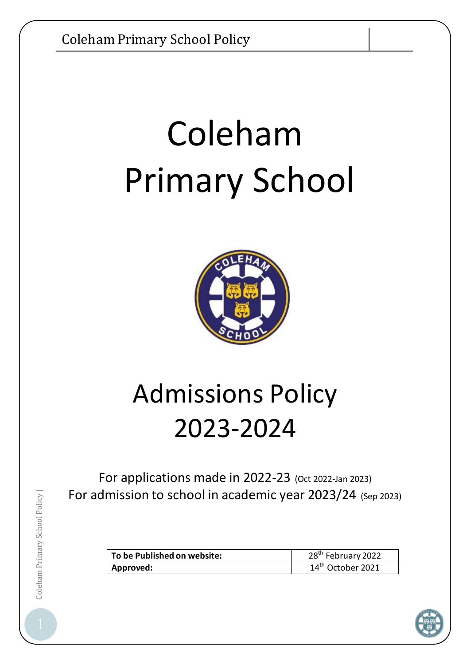# Coleham Primary School



# Admissions Policy 2023-2024

For applications made in 2022-23 (Oct 2022-Jan 2023) For admission to school in academic year 2023/24 (Sep 2023)

| To be Published on website: | 28 <sup>th</sup> February 2022 |
|-----------------------------|--------------------------------|
| Approved:                   | 14 <sup>th</sup> October 2021  |

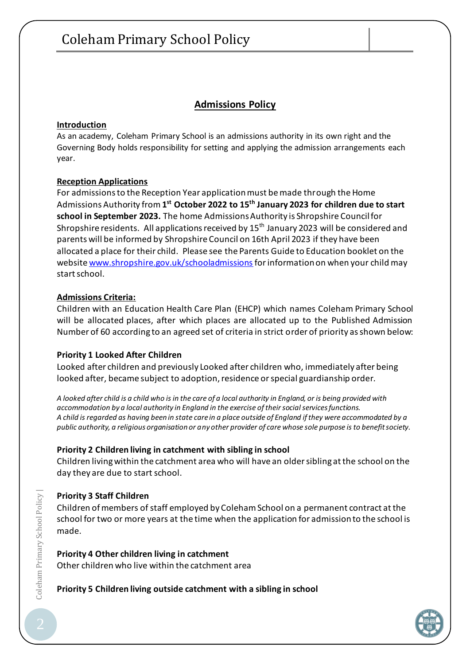#### **Admissions Policy**

#### **Introduction**

As an academy, Coleham Primary School is an admissions authority in its own right and the Governing Body holds responsibility for setting and applying the admission arrangements each year.

#### **Reception Applications**

For admissions to the Reception Year application must be made through the Home Admissions Authority from **1 st October 2022 to 15th January 2023 for children due to start school in September 2023.** The home Admissions Authority is Shropshire Council for Shropshire residents. All applications received by  $15<sup>th</sup>$  January 2023 will be considered and parents will be informed by Shropshire Council on 16th April 2023 if they have been allocated a place for their child. Please see the Parents Guide to Education booklet on the website [www.shropshire.gov.uk/schooladmissions](http://www.shropshire.gov.uk/schooladmissions) for information on when your child may start school.

#### **Admissions Criteria:**

Children with an Education Health Care Plan (EHCP) which names Coleham Primary School will be allocated places, after which places are allocated up to the Published Admission Number of 60 according to an agreed set of criteria in strict order of priority as shown below:

#### **Priority 1 Looked After Children**

Looked after children and previously Looked after children who, immediately after being looked after, became subject to adoption, residence or special guardianship order*.*

*A looked after child is a child who is in the care of a local authority in England, or is being provided with accommodation by a local authority in England in the exercise of their social services functions. A child is regarded as having been in state care in a place outside of England if they were accommodated by a public authority, a religious organisation or any other provider of care whose sole purpose is to benefit society.*

#### **Priority 2 Children living in catchment with sibling in school**

Children living within the catchment area who will have an older sibling at the school on the day they are due to start school.

#### **Priority 3 Staff Children**

Children of members of staff employed by Coleham School on a permanent contract at the school for two or more years at the time when the application for admission to the school is made.

#### **Priority 4 Other children living in catchment**

Other children who live within the catchment area

#### **Priority 5 Children living outside catchment with a sibling in school**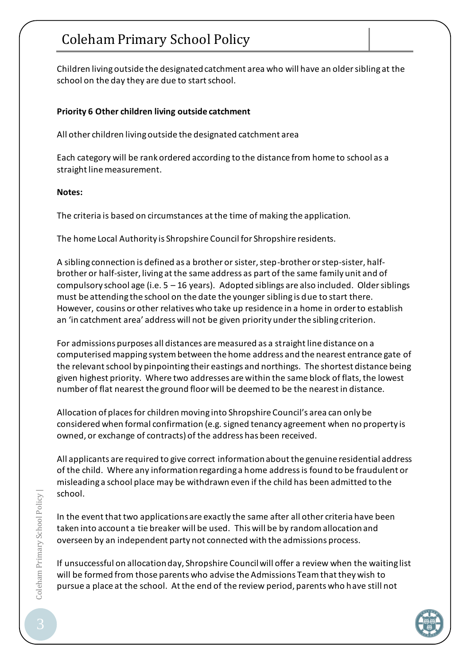## Coleham Primary School Policy

Children living outside the designated catchment area who will have an older sibling at the school on the day they are due to start school.

#### **Priority 6 Other children living outside catchment**

All other children living outside the designated catchment area

Each category will be rank ordered according to the distance from home to school as a straight line measurement.

#### **Notes:**

The criteria is based on circumstances at the time of making the application.

The home Local Authority is Shropshire Council for Shropshire residents.

A sibling connection is defined as a brother or sister, step-brother or step-sister, halfbrother or half-sister, living at the same address as part of the same family unit and of compulsory school age (i.e.  $5 - 16$  years). Adopted siblings are also included. Older siblings must be attending the school on the date the younger sibling is due to start there. However, cousins or other relatives who take up residence in a home in order to establish an 'in catchment area' address will not be given priority under the sibling criterion.

For admissions purposes all distances are measured as a straight line distance on a computerised mapping system between the home address and the nearest entrance gate of the relevant school by pinpointing their eastings and northings. The shortest distance being given highest priority. Where two addresses are within the same block of flats, the lowest number of flat nearest the ground floor will be deemed to be the nearest in distance.

Allocation of places for children moving into Shropshire Council's area can only be considered when formal confirmation (e.g. signed tenancy agreement when no property is owned, or exchange of contracts) of the address has been received.

All applicants are required to give correct information about the genuine residential address of the child. Where any information regarding a home address is found to be fraudulent or misleading a school place may be withdrawn even if the child has been admitted to the school.

In the event that two applications are exactly the same after all other criteria have been taken into account a tie breaker will be used. This will be by random allocation and overseen by an independent party not connected with the admissions process.

If unsuccessful on allocation day, Shropshire Council will offer a review when the waiting list will be formed from those parents who advise the Admissions Team that they wish to pursue a place at the school. At the end of the review period, parents who have still not